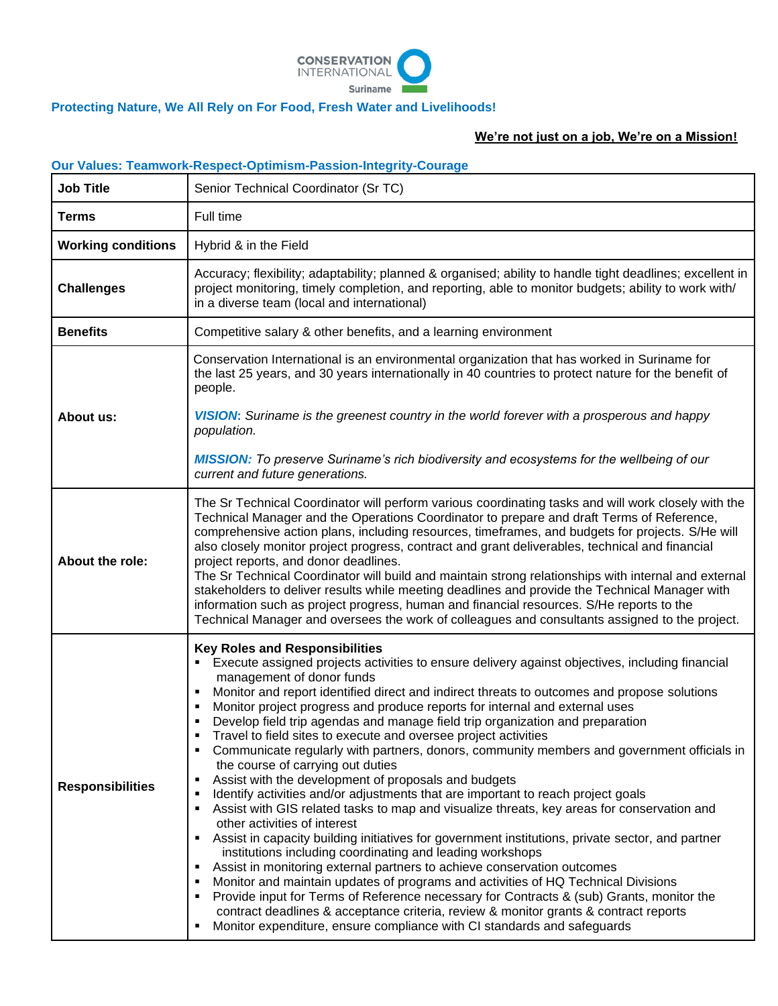

## **Protecting Nature, We All Rely on For Food, Fresh Water and Livelihoods!**

## **We're not just on a job, We're on a Mission!**

|                           | <b>Our Values: Teamwork-Respect-Optimism-Passion-Integrity-Courage</b>                                                                                                                                                                                                                                                                                                                                                                                                                                                                                                                                                                                                                                                                                                                                                                                                                                                                                                                                                                                                                                                                                                                                                                                                                                                                                                                                                                                                                                                                                       |
|---------------------------|--------------------------------------------------------------------------------------------------------------------------------------------------------------------------------------------------------------------------------------------------------------------------------------------------------------------------------------------------------------------------------------------------------------------------------------------------------------------------------------------------------------------------------------------------------------------------------------------------------------------------------------------------------------------------------------------------------------------------------------------------------------------------------------------------------------------------------------------------------------------------------------------------------------------------------------------------------------------------------------------------------------------------------------------------------------------------------------------------------------------------------------------------------------------------------------------------------------------------------------------------------------------------------------------------------------------------------------------------------------------------------------------------------------------------------------------------------------------------------------------------------------------------------------------------------------|
| <b>Job Title</b>          | Senior Technical Coordinator (Sr TC)                                                                                                                                                                                                                                                                                                                                                                                                                                                                                                                                                                                                                                                                                                                                                                                                                                                                                                                                                                                                                                                                                                                                                                                                                                                                                                                                                                                                                                                                                                                         |
| <b>Terms</b>              | Full time                                                                                                                                                                                                                                                                                                                                                                                                                                                                                                                                                                                                                                                                                                                                                                                                                                                                                                                                                                                                                                                                                                                                                                                                                                                                                                                                                                                                                                                                                                                                                    |
| <b>Working conditions</b> | Hybrid & in the Field                                                                                                                                                                                                                                                                                                                                                                                                                                                                                                                                                                                                                                                                                                                                                                                                                                                                                                                                                                                                                                                                                                                                                                                                                                                                                                                                                                                                                                                                                                                                        |
| <b>Challenges</b>         | Accuracy; flexibility; adaptability; planned & organised; ability to handle tight deadlines; excellent in<br>project monitoring, timely completion, and reporting, able to monitor budgets; ability to work with/<br>in a diverse team (local and international)                                                                                                                                                                                                                                                                                                                                                                                                                                                                                                                                                                                                                                                                                                                                                                                                                                                                                                                                                                                                                                                                                                                                                                                                                                                                                             |
| <b>Benefits</b>           | Competitive salary & other benefits, and a learning environment                                                                                                                                                                                                                                                                                                                                                                                                                                                                                                                                                                                                                                                                                                                                                                                                                                                                                                                                                                                                                                                                                                                                                                                                                                                                                                                                                                                                                                                                                              |
| About us:                 | Conservation International is an environmental organization that has worked in Suriname for<br>the last 25 years, and 30 years internationally in 40 countries to protect nature for the benefit of<br>people.<br><b>VISION:</b> Suriname is the greenest country in the world forever with a prosperous and happy<br>population.<br><b>MISSION:</b> To preserve Suriname's rich biodiversity and ecosystems for the wellbeing of our                                                                                                                                                                                                                                                                                                                                                                                                                                                                                                                                                                                                                                                                                                                                                                                                                                                                                                                                                                                                                                                                                                                        |
|                           | current and future generations.                                                                                                                                                                                                                                                                                                                                                                                                                                                                                                                                                                                                                                                                                                                                                                                                                                                                                                                                                                                                                                                                                                                                                                                                                                                                                                                                                                                                                                                                                                                              |
| About the role:           | The Sr Technical Coordinator will perform various coordinating tasks and will work closely with the<br>Technical Manager and the Operations Coordinator to prepare and draft Terms of Reference,<br>comprehensive action plans, including resources, timeframes, and budgets for projects. S/He will<br>also closely monitor project progress, contract and grant deliverables, technical and financial<br>project reports, and donor deadlines.<br>The Sr Technical Coordinator will build and maintain strong relationships with internal and external<br>stakeholders to deliver results while meeting deadlines and provide the Technical Manager with<br>information such as project progress, human and financial resources. S/He reports to the<br>Technical Manager and oversees the work of colleagues and consultants assigned to the project.                                                                                                                                                                                                                                                                                                                                                                                                                                                                                                                                                                                                                                                                                                     |
| <b>Responsibilities</b>   | <b>Key Roles and Responsibilities</b><br>Execute assigned projects activities to ensure delivery against objectives, including financial<br>management of donor funds<br>Monitor and report identified direct and indirect threats to outcomes and propose solutions<br>Monitor project progress and produce reports for internal and external uses<br>Develop field trip agendas and manage field trip organization and preparation<br>п<br>Travel to field sites to execute and oversee project activities<br>Communicate regularly with partners, donors, community members and government officials in<br>п<br>the course of carrying out duties<br>Assist with the development of proposals and budgets<br>Е<br>Identify activities and/or adjustments that are important to reach project goals<br>п<br>Assist with GIS related tasks to map and visualize threats, key areas for conservation and<br>other activities of interest<br>Assist in capacity building initiatives for government institutions, private sector, and partner<br>п<br>institutions including coordinating and leading workshops<br>Assist in monitoring external partners to achieve conservation outcomes<br>Monitor and maintain updates of programs and activities of HQ Technical Divisions<br>п<br>Provide input for Terms of Reference necessary for Contracts & (sub) Grants, monitor the<br>Е<br>contract deadlines & acceptance criteria, review & monitor grants & contract reports<br>Monitor expenditure, ensure compliance with CI standards and safeguards<br>п |